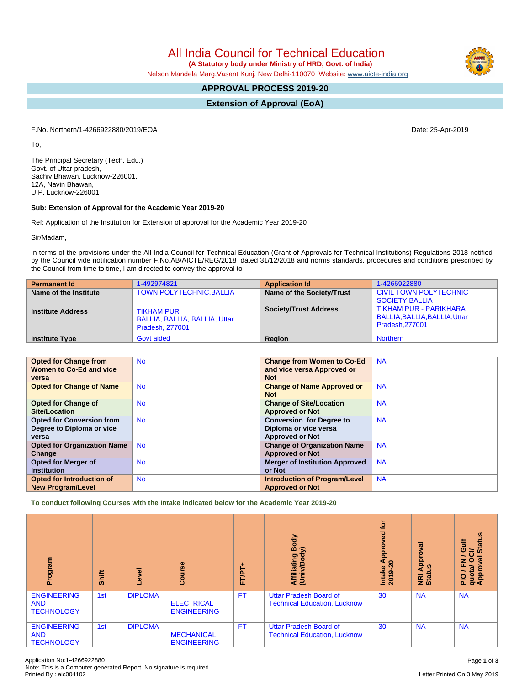All India Council for Technical Education

 **(A Statutory body under Ministry of HRD, Govt. of India)**

Nelson Mandela Marg,Vasant Kunj, New Delhi-110070 Website: [www.aicte-india.org](http://www.aicte-india.org)

# **APPROVAL PROCESS 2019-20**

**Extension of Approval (EoA)**

F.No. Northern/1-4266922880/2019/EOA Date: 25-Apr-2019

To,

The Principal Secretary (Tech. Edu.) Govt. of Uttar pradesh, Sachiv Bhawan, Lucknow-226001, 12A, Navin Bhawan, U.P. Lucknow-226001

#### **Sub: Extension of Approval for the Academic Year 2019-20**

Ref: Application of the Institution for Extension of approval for the Academic Year 2019-20

Sir/Madam,

In terms of the provisions under the All India Council for Technical Education (Grant of Approvals for Technical Institutions) Regulations 2018 notified by the Council vide notification number F.No.AB/AICTE/REG/2018 dated 31/12/2018 and norms standards, procedures and conditions prescribed by the Council from time to time, I am directed to convey the approval to

| <b>Permanent Id</b>      | 1-492974821                                                                  | <b>Application Id</b>        | 1-4266922880                                                                     |
|--------------------------|------------------------------------------------------------------------------|------------------------------|----------------------------------------------------------------------------------|
| Name of the Institute    | <b>TOWN POLYTECHNIC, BALLIA</b>                                              | Name of the Society/Trust    | <b>CIVIL TOWN POLYTECHNIC</b><br>SOCIETY, BALLIA                                 |
| <b>Institute Address</b> | <b>TIKHAM PUR</b><br>BALLIA, BALLIA, BALLIA, Uttar<br><b>Pradesh, 277001</b> | <b>Society/Trust Address</b> | <b>TIKHAM PUR - PARIKHARA</b><br>BALLIA, BALLIA, BALLIA, Uttar<br>Pradesh.277001 |
| <b>Institute Type</b>    | Govt aided                                                                   | Region                       | <b>Northern</b>                                                                  |

| <b>Opted for Change from</b>       | <b>No</b> | <b>Change from Women to Co-Ed</b>     | <b>NA</b> |
|------------------------------------|-----------|---------------------------------------|-----------|
| Women to Co-Ed and vice            |           | and vice versa Approved or            |           |
| versa                              |           | <b>Not</b>                            |           |
| <b>Opted for Change of Name</b>    | <b>No</b> | <b>Change of Name Approved or</b>     | <b>NA</b> |
|                                    |           | <b>Not</b>                            |           |
| <b>Opted for Change of</b>         | <b>No</b> | <b>Change of Site/Location</b>        | <b>NA</b> |
| <b>Site/Location</b>               |           | <b>Approved or Not</b>                |           |
| <b>Opted for Conversion from</b>   | <b>No</b> | <b>Conversion for Degree to</b>       | <b>NA</b> |
| Degree to Diploma or vice          |           | Diploma or vice versa                 |           |
| versa                              |           | <b>Approved or Not</b>                |           |
| <b>Opted for Organization Name</b> | <b>No</b> | <b>Change of Organization Name</b>    | <b>NA</b> |
| Change                             |           | <b>Approved or Not</b>                |           |
| <b>Opted for Merger of</b>         | <b>No</b> | <b>Merger of Institution Approved</b> | <b>NA</b> |
| <b>Institution</b>                 |           | or Not                                |           |
| <b>Opted for Introduction of</b>   | <b>No</b> | <b>Introduction of Program/Level</b>  | <b>NA</b> |
| <b>New Program/Level</b>           |           | <b>Approved or Not</b>                |           |

**To conduct following Courses with the Intake indicated below for the Academic Year 2019-20**

| Program                                               | Shift | Level          | Course                                  | FT/PT+    | Body<br>⋦<br>Affiliating<br>(Univ/Body                               | <b>b</b><br>yed<br>ö<br>윤<br>∢∝<br>2019-2<br>Intake | $\overline{\mathbf{g}}$<br>ō<br>Appr<br>9<br><b>E</b> ät | <b>Status</b><br>Gulf<br>ಕ<br>╮<br>$\circ$<br>g<br>준<br>quota/<br>Approv<br>ppro<br>$\frac{1}{2}$ |
|-------------------------------------------------------|-------|----------------|-----------------------------------------|-----------|----------------------------------------------------------------------|-----------------------------------------------------|----------------------------------------------------------|---------------------------------------------------------------------------------------------------|
| <b>ENGINEERING</b><br><b>AND</b><br><b>TECHNOLOGY</b> | 1st   | <b>DIPLOMA</b> | <b>ELECTRICAL</b><br><b>ENGINEERING</b> | <b>FT</b> | <b>Uttar Pradesh Board of</b><br><b>Technical Education, Lucknow</b> | 30                                                  | <b>NA</b>                                                | <b>NA</b>                                                                                         |
| <b>ENGINEERING</b><br><b>AND</b><br><b>TECHNOLOGY</b> | 1st   | <b>DIPLOMA</b> | <b>MECHANICAL</b><br><b>ENGINEERING</b> | <b>FT</b> | <b>Uttar Pradesh Board of</b><br><b>Technical Education, Lucknow</b> | 30                                                  | <b>NA</b>                                                | <b>NA</b>                                                                                         |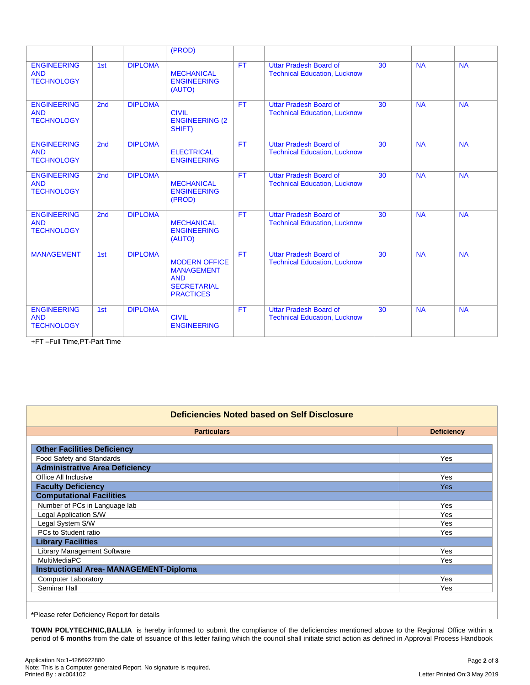|                                                       |                 |                | (PROD)                                                                                            |           |                                                                      |    |           |           |
|-------------------------------------------------------|-----------------|----------------|---------------------------------------------------------------------------------------------------|-----------|----------------------------------------------------------------------|----|-----------|-----------|
| <b>ENGINEERING</b><br><b>AND</b><br><b>TECHNOLOGY</b> | 1st             | <b>DIPLOMA</b> | <b>MECHANICAL</b><br><b>ENGINEERING</b><br>(AUTO)                                                 | <b>FT</b> | <b>Uttar Pradesh Board of</b><br><b>Technical Education, Lucknow</b> | 30 | <b>NA</b> | <b>NA</b> |
| <b>ENGINEERING</b><br><b>AND</b><br><b>TECHNOLOGY</b> | 2 <sub>nd</sub> | <b>DIPLOMA</b> | <b>CIVIL</b><br><b>ENGINEERING (2)</b><br>SHIFT)                                                  | <b>FT</b> | <b>Uttar Pradesh Board of</b><br><b>Technical Education, Lucknow</b> | 30 | <b>NA</b> | <b>NA</b> |
| <b>ENGINEERING</b><br><b>AND</b><br><b>TECHNOLOGY</b> | 2 <sub>nd</sub> | <b>DIPLOMA</b> | <b>ELECTRICAL</b><br><b>ENGINEERING</b>                                                           | <b>FT</b> | Uttar Pradesh Board of<br><b>Technical Education, Lucknow</b>        | 30 | <b>NA</b> | <b>NA</b> |
| <b>ENGINEERING</b><br><b>AND</b><br><b>TECHNOLOGY</b> | 2 <sub>nd</sub> | <b>DIPLOMA</b> | <b>MECHANICAL</b><br><b>ENGINEERING</b><br>(PROD)                                                 | <b>FT</b> | <b>Uttar Pradesh Board of</b><br><b>Technical Education, Lucknow</b> | 30 | <b>NA</b> | <b>NA</b> |
| <b>ENGINEERING</b><br><b>AND</b><br><b>TECHNOLOGY</b> | 2 <sub>nd</sub> | <b>DIPLOMA</b> | <b>MECHANICAL</b><br><b>ENGINEERING</b><br>(AUTO)                                                 | <b>FT</b> | <b>Uttar Pradesh Board of</b><br><b>Technical Education, Lucknow</b> | 30 | <b>NA</b> | <b>NA</b> |
| <b>MANAGEMENT</b>                                     | 1st             | <b>DIPLOMA</b> | <b>MODERN OFFICE</b><br><b>MANAGEMENT</b><br><b>AND</b><br><b>SECRETARIAL</b><br><b>PRACTICES</b> | <b>FT</b> | <b>Uttar Pradesh Board of</b><br><b>Technical Education, Lucknow</b> | 30 | <b>NA</b> | <b>NA</b> |
| <b>ENGINEERING</b><br><b>AND</b><br><b>TECHNOLOGY</b> | 1st             | <b>DIPLOMA</b> | <b>CIVIL</b><br><b>ENGINEERING</b>                                                                | <b>FT</b> | Uttar Pradesh Board of<br><b>Technical Education, Lucknow</b>        | 30 | <b>NA</b> | <b>NA</b> |

+FT –Full Time,PT-Part Time

| Deficiencies Noted based on Self Disclosure   |                   |  |  |  |  |  |
|-----------------------------------------------|-------------------|--|--|--|--|--|
| <b>Particulars</b>                            | <b>Deficiency</b> |  |  |  |  |  |
| <b>Other Facilities Deficiency</b>            |                   |  |  |  |  |  |
| Food Safety and Standards                     | Yes               |  |  |  |  |  |
| <b>Administrative Area Deficiency</b>         |                   |  |  |  |  |  |
| Office All Inclusive                          | <b>Yes</b>        |  |  |  |  |  |
| <b>Faculty Deficiency</b>                     | <b>Yes</b>        |  |  |  |  |  |
| <b>Computational Facilities</b>               |                   |  |  |  |  |  |
| Number of PCs in Language lab                 | Yes               |  |  |  |  |  |
| Legal Application S/W                         | Yes               |  |  |  |  |  |
| Legal System S/W                              | Yes               |  |  |  |  |  |
| PCs to Student ratio<br>Yes                   |                   |  |  |  |  |  |
| <b>Library Facilities</b>                     |                   |  |  |  |  |  |
| Library Management Software                   | <b>Yes</b>        |  |  |  |  |  |
| <b>MultiMediaPC</b>                           | <b>Yes</b>        |  |  |  |  |  |
| <b>Instructional Area- MANAGEMENT-Diploma</b> |                   |  |  |  |  |  |
| <b>Computer Laboratory</b><br>Yes             |                   |  |  |  |  |  |
| Seminar Hall<br>Yes                           |                   |  |  |  |  |  |
|                                               |                   |  |  |  |  |  |

# **\***Please refer Deficiency Report for details

**TOWN POLYTECHNIC,BALLIA** is hereby informed to submit the compliance of the deficiencies mentioned above to the Regional Office within a period of **6 months** from the date of issuance of this letter failing which the council shall initiate strict action as defined in Approval Process Handbook